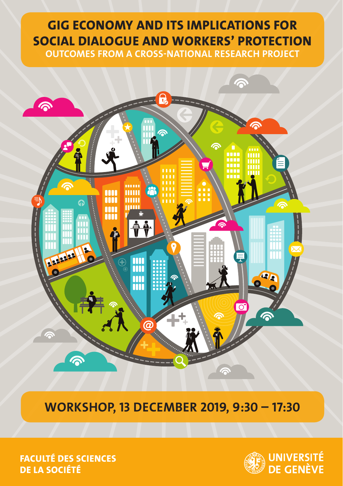# **GIG ECONOMY AND ITS IMPLICATIONS FOR SOCIAL DIALOGUE AND WORKERS' PROTECTION OUTCOMES FROM A CROSS-NATIONAL RESEARCH PROJECT**



## **WORKSHOP, 13 DECEMBER 2019, 9:30 – 17:30**

**FACULTÉ DES SCIENCES DE LA SOCIÉTÉ**